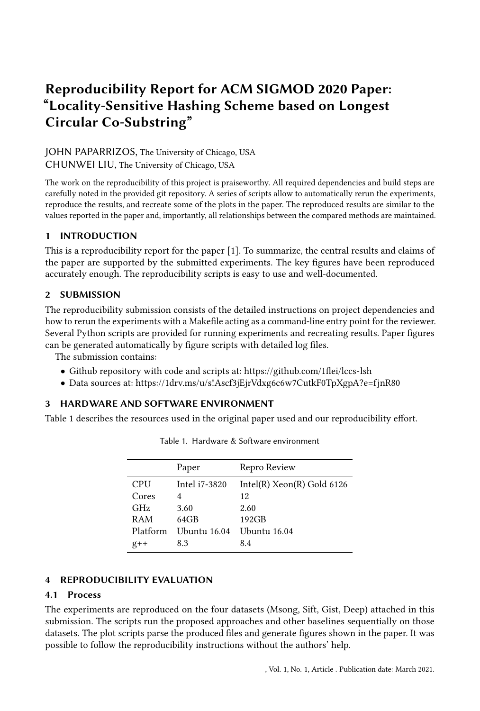# Reproducibility Report for ACM SIGMOD 2020 Paper: "Locality-Sensitive Hashing Scheme based on Longest Circular Co-Substring"

JOHN PAPARRIZOS, The University of Chicago, USA CHUNWEI LIU, The University of Chicago, USA

The work on the reproducibility of this project is praiseworthy. All required dependencies and build steps are carefully noted in the provided git repository. A series of scripts allow to automatically rerun the experiments, reproduce the results, and recreate some of the plots in the paper. The reproduced results are similar to the values reported in the paper and, importantly, all relationships between the compared methods are maintained.

# 1 INTRODUCTION

This is a reproducibility report for the paper [\[1\]](#page-1-0). To summarize, the central results and claims of the paper are supported by the submitted experiments. The key figures have been reproduced accurately enough. The reproducibility scripts is easy to use and well-documented.

# 2 SUBMISSION

The reproducibility submission consists of the detailed instructions on project dependencies and how to rerun the experiments with a Makefile acting as a command-line entry point for the reviewer. Several Python scripts are provided for running experiments and recreating results. Paper figures can be generated automatically by figure scripts with detailed log files.

The submission contains:

- Github repository with code and scripts at:<https://github.com/1flei/lccs-lsh>
- Data sources at: [https://1drv.ms/u/s!Ascf3jEjrVdxg6c6w7CutkF0TpXgpA?e=fjnR80](https://1drv.ms/u/s!Ascf3jEjrVdxg6c6w7CutkF0TpXgpA?e=fjnR80 )

## 3 HARDWARE AND SOFTWARE ENVIRONMENT

<span id="page-0-0"></span>Table [1](#page-0-0) describes the resources used in the original paper used and our reproducibility effort.

|            | Paper         | Repro Review                 |
|------------|---------------|------------------------------|
| <b>CPU</b> | Intel i7-3820 | Intel(R) $Xeon(R)$ Gold 6126 |
| Cores      | 4             | 12                           |
| GHz        | 3.60          | 2.60                         |
| RAM        | $64$ GB       | 192GB                        |
| Platform   | Uhuntu 16.04  | Ubuntu 16.04                 |
| $g_{++}$   | 8.3           | 8.4                          |

Table 1. Hardware & Software environment

## 4 REPRODUCIBILITY EVALUATION

## 4.1 Process

The experiments are reproduced on the four datasets (Msong, Sift, Gist, Deep) attached in this submission. The scripts run the proposed approaches and other baselines sequentially on those datasets. The plot scripts parse the produced files and generate figures shown in the paper. It was possible to follow the reproducibility instructions without the authors' help.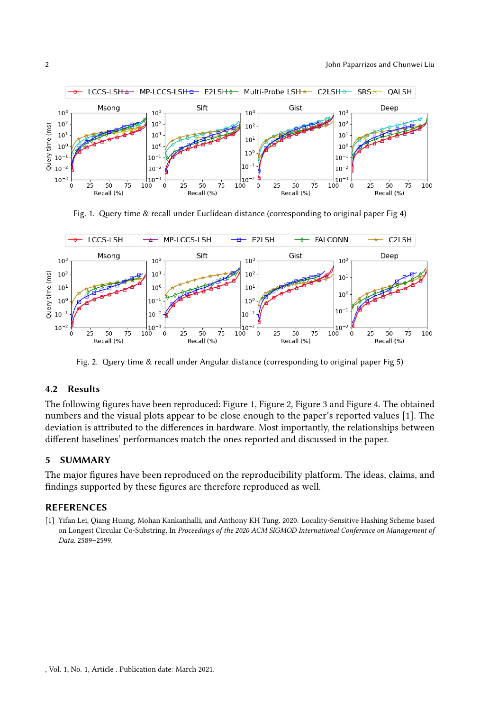<span id="page-1-1"></span>

Fig. 1. Query time & recall under Euclidean distance (corresponding to original paper Fig 4)

<span id="page-1-2"></span>

Fig. 2. Query time & recall under Angular distance (corresponding to original paper Fig 5)

### 4.2 Results

The following figures have been reproduced: Figure [1,](#page-1-1) Figure [2,](#page-1-2) Figure [3](#page-2-0) and Figure [4.](#page-2-1) The obtained numbers and the visual plots appear to be close enough to the paper's reported values [1]. The deviation is attributed to the differences in hardware. Most importantly, the relationships between different baselines' performances match the ones reported and discussed in the paper.

#### 5 SUMMARY

The major figures have been reproduced on the reproducibility platform. The ideas, claims, and findings supported by these figures are therefore reproduced as well.

#### REFERENCES

<span id="page-1-0"></span>[1] Yifan Lei, Qiang Huang, Mohan Kankanhalli, and Anthony KH Tung. 2020. Locality-Sensitive Hashing Scheme based on Longest Circular Co-Substring. In Proceedings of the 2020 ACM SIGMOD International Conference on Management of Data. 2589–2599.